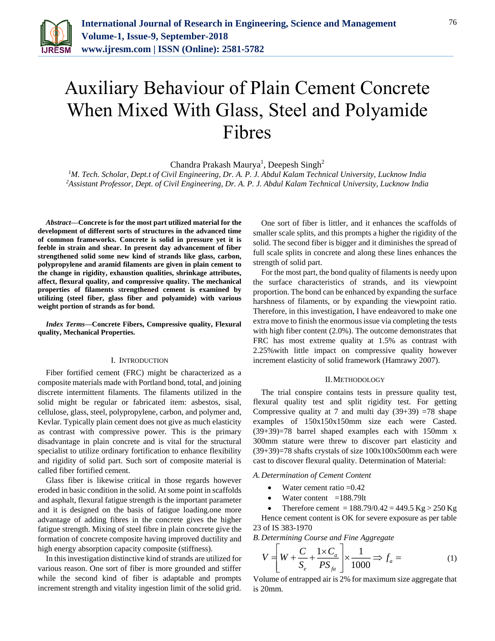

# Auxiliary Behaviour of Plain Cement Concrete When Mixed With Glass, Steel and Polyamide Fibres

Chandra Prakash Maurya<sup>1</sup>, Deepesh Singh<sup>2</sup>

*<sup>1</sup>M. Tech. Scholar, Dept.t of Civil Engineering, Dr. A. P. J. Abdul Kalam Technical University, Lucknow India <sup>2</sup>Assistant Professor, Dept. of Civil Engineering, Dr. A. P. J. Abdul Kalam Technical University, Lucknow India*

*Abstract***—Concrete is for the most part utilized material for the development of different sorts of structures in the advanced time of common frameworks. Concrete is solid in pressure yet it is feeble in strain and shear. In present day advancement of fiber strengthened solid some new kind of strands like glass, carbon, polypropylene and aramid filaments are given in plain cement to the change in rigidity, exhaustion qualities, shrinkage attributes, affect, flexural quality, and compressive quality. The mechanical properties of filaments strengthened cement is examined by utilizing (steel fiber, glass fiber and polyamide) with various weight portion of strands as for bond.** 

*Index Terms***—Concrete Fibers, Compressive quality, Flexural quality, Mechanical Properties.**

#### I. INTRODUCTION

Fiber fortified cement (FRC) might be characterized as a composite materials made with Portland bond, total, and joining discrete intermittent filaments. The filaments utilized in the solid might be regular or fabricated item: asbestos, sisal, cellulose, glass, steel, polypropylene, carbon, and polymer and, Kevlar. Typically plain cement does not give as much elasticity as contrast with compressive power. This is the primary disadvantage in plain concrete and is vital for the structural specialist to utilize ordinary fortification to enhance flexibility and rigidity of solid part. Such sort of composite material is called fiber fortified cement.

Glass fiber is likewise critical in those regards however eroded in basic condition in the solid. At some point in scaffolds and asphalt, flexural fatigue strength is the important parameter and it is designed on the basis of fatigue loading.one more advantage of adding fibres in the concrete gives the higher fatigue strength. Mixing of steel fibre in plain concrete give the formation of concrete composite having improved ductility and high energy absorption capacity composite (stiffness).

In this investigation distinctive kind of strands are utilized for various reason. One sort of fiber is more grounded and stiffer while the second kind of fiber is adaptable and prompts increment strength and vitality ingestion limit of the solid grid.

One sort of fiber is littler, and it enhances the scaffolds of smaller scale splits, and this prompts a higher the rigidity of the solid. The second fiber is bigger and it diminishes the spread of full scale splits in concrete and along these lines enhances the strength of solid part.

For the most part, the bond quality of filaments is needy upon the surface characteristics of strands, and its viewpoint proportion. The bond can be enhanced by expanding the surface harshness of filaments, or by expanding the viewpoint ratio. Therefore, in this investigation, I have endeavored to make one extra move to finish the enormous issue via completing the tests with high fiber content (2.0%). The outcome demonstrates that FRC has most extreme quality at 1.5% as contrast with 2.25%with little impact on compressive quality however increment elasticity of solid framework (Hamrawy 2007).

#### II.METHODOLOGY

The trial conspire contains tests in pressure quality test, flexural quality test and split rigidity test. For getting Compressive quality at 7 and multi day  $(39+39)$  =78 shape examples of 150x150x150mm size each were Casted. (39+39)=78 barrel shaped examples each with 150mm x 300mm stature were threw to discover part elasticity and  $(39+39)=78$  shafts crystals of size  $100x100x500$ mm each were cast to discover flexural quality. Determination of Material:

## *A. Determination of Cement Content*

- Water cement ratio = 0.42
- Water content  $=188.79$ lt

Therefore cement =  $188.79/0.42 = 449.5$  Kg  $> 250$  Kg Hence cement content is OK for severe exposure as per table 23 of IS 383-1970

*B. Determining Course and Fine Aggregate*

$$
V = \left[ W + \frac{C}{S_e} + \frac{1 \times C_a}{PS_{fa}} \right] \times \frac{1}{1000} \Rightarrow f_a = \tag{1}
$$

Volume of entrapped air is 2% for maximum size aggregate that is 20mm.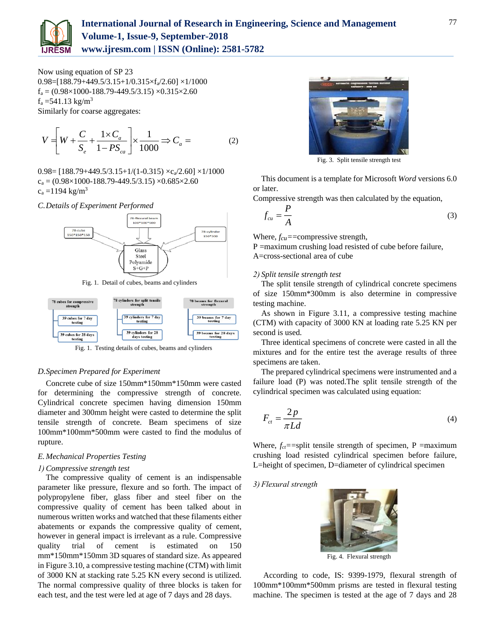

Now using equation of SP 23  $0.98=[188.79+449.5/3.15+1/0.315\times f_a/2.60]\times 1/1000$  $f_a = (0.98 \times 1000 - 188.79 - 449.5/3.15) \times 0.315 \times 2.60$  $f_a = 541.13$  kg/m<sup>3</sup> Similarly for coarse aggregates:

$$
V = \left[ W + \frac{C}{S_e} + \frac{1 \times C_a}{1 - PS_{ca}} \right] \times \frac{1}{1000} \Rightarrow C_a = \tag{2}
$$

 $0.98 = [188.79 + 449.5/3.15 + 1/(1 - 0.315) \times c_a/2.60] \times 1/1000$  $c_a = (0.98 \times 1000 - 188.79 - 449.5/3.15) \times 0.685 \times 2.60$  $c_a = 1194 \text{ kg/m}^3$ 

*C.Details of Experiment Performed*



Fig. 1. Detail of cubes, beams and cylinders



Fig. 1. Testing details of cubes, beams and cylinders

## *D.Specimen Prepared for Experiment*

Concrete cube of size 150mm\*150mm\*150mm were casted for determining the compressive strength of concrete. Cylindrical concrete specimen having dimension 150mm diameter and 300mm height were casted to determine the split tensile strength of concrete. Beam specimens of size 100mm\*100mm\*500mm were casted to find the modulus of rupture.

## *E. Mechanical Properties Testing*

#### *1) Compressive strength test*

The compressive quality of cement is an indispensable parameter like pressure, flexure and so forth. The impact of polypropylene fiber, glass fiber and steel fiber on the compressive quality of cement has been talked about in numerous written works and watched that these filaments either abatements or expands the compressive quality of cement, however in general impact is irrelevant as a rule. Compressive quality trial of cement is estimated on 150 mm\*150mm\*150mm 3D squares of standard size. As appeared in Figure 3.10, a compressive testing machine (CTM) with limit of 3000 KN at stacking rate 5.25 KN every second is utilized. The normal compressive quality of three blocks is taken for each test, and the test were led at age of 7 days and 28 days.



Fig. 3. Split tensile strength test

This document is a template for Microsoft *Word* versions 6.0 or later.

Compressive strength was then calculated by the equation,

$$
f_{cu} = \frac{P}{A} \tag{3}
$$

Where, *fcu=*=compressive strength,

P =maximum crushing load resisted of cube before failure, A=cross-sectional area of cube

#### *2) Split tensile strength test*

The split tensile strength of cylindrical concrete specimens of size 150mm\*300mm is also determine in compressive testing machine.

As shown in Figure 3.11, a compressive testing machine (CTM) with capacity of 3000 KN at loading rate 5.25 KN per second is used.

Three identical specimens of concrete were casted in all the mixtures and for the entire test the average results of three specimens are taken.

The prepared cylindrical specimens were instrumented and a failure load (P) was noted.The split tensile strength of the cylindrical specimen was calculated using equation:

$$
F_{ct} = \frac{2p}{\pi L d} \tag{4}
$$

Where,  $f_{ct}$ ==split tensile strength of specimen, P =maximum crushing load resisted cylindrical specimen before failure, L=height of specimen, D=diameter of cylindrical specimen

### *3) Flexural strength*



Fig. 4. Flexural strength

According to code, IS: 9399-1979, flexural strength of 100mm\*100mm\*500mm prisms are tested in flexural testing machine. The specimen is tested at the age of 7 days and 28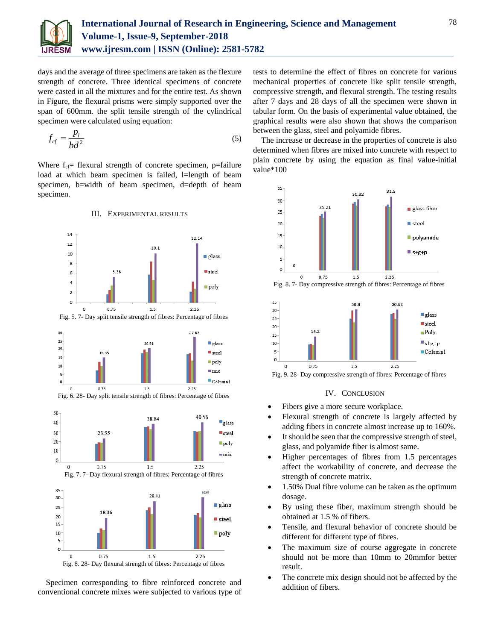

days and the average of three specimens are taken as the flexure strength of concrete. Three identical specimens of concrete were casted in all the mixtures and for the entire test. As shown in Figure, the flexural prisms were simply supported over the span of 600mm. the split tensile strength of the cylindrical specimen were calculated using equation:

$$
f_{cf} = \frac{p_l}{bd^2} \tag{5}
$$

Where  $f_{cf}$  flexural strength of concrete specimen, p=failure load at which beam specimen is failed, l=length of beam specimen, b=width of beam specimen, d=depth of beam specimen.



Specimen corresponding to fibre reinforced concrete and conventional concrete mixes were subjected to various type of tests to determine the effect of fibres on concrete for various mechanical properties of concrete like split tensile strength, compressive strength, and flexural strength. The testing results after 7 days and 28 days of all the specimen were shown in tabular form. On the basis of experimental value obtained, the graphical results were also shown that shows the comparison between the glass, steel and polyamide fibres.

The increase or decrease in the properties of concrete is also determined when fibres are mixed into concrete with respect to plain concrete by using the equation as final value-initial value\*100





Fig. 9. 28- Day compressive strength of fibres: Percentage of fibres

## IV. CONCLUSION

- Fibers give a more secure workplace.
- Flexural strength of concrete is largely affected by adding fibers in concrete almost increase up to 160%.
- It should be seen that the compressive strength of steel, glass, and polyamide fiber is almost same.
- Higher percentages of fibres from 1.5 percentages affect the workability of concrete, and decrease the strength of concrete matrix.
- 1.50% Dual fibre volume can be taken as the optimum dosage.
- By using these fiber, maximum strength should be obtained at 1.5 % of fibers.
- Tensile, and flexural behavior of concrete should be different for different type of fibres.
- The maximum size of course aggregate in concrete should not be more than 10mm to 20mmfor better result.
- The concrete mix design should not be affected by the addition of fibers.